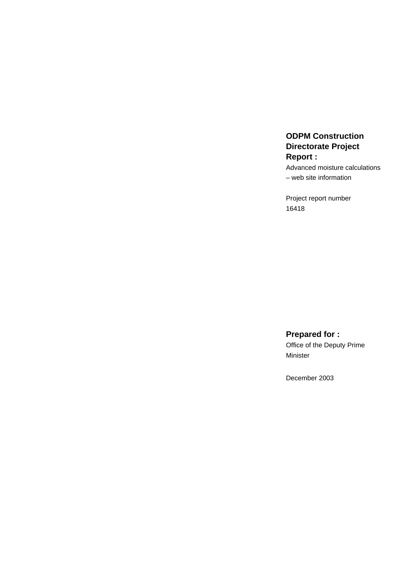# **ODPM Construction Directorate Project Report :**

Advanced moisture calculations – web site information

Project report number 16418

**Prepared for :** Office of the Deputy Prime Minister

December 2003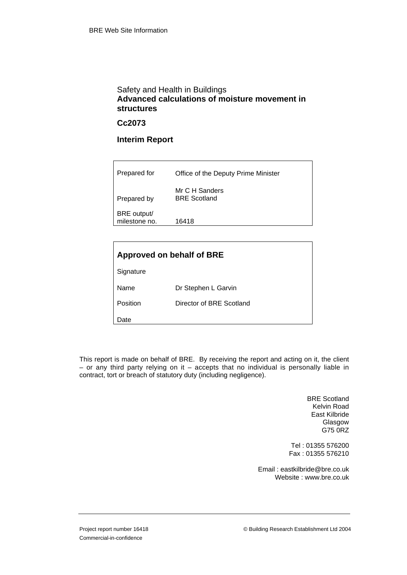# Safety and Health in Buildings **Advanced calculations of moisture movement in structures**

#### **Cc2073**

### **Interim Report**

| Prepared for                 | Office of the Deputy Prime Minister   |
|------------------------------|---------------------------------------|
| Prepared by                  | Mr C H Sanders<br><b>BRE</b> Scotland |
| BRE output/<br>milestone no. | 16418                                 |

| Approved on behalf of BRE |                          |  |
|---------------------------|--------------------------|--|
| Signature                 |                          |  |
| Name                      | Dr Stephen L Garvin      |  |
| Position                  | Director of BRE Scotland |  |
| Date                      |                          |  |

This report is made on behalf of BRE. By receiving the report and acting on it, the client – or any third party relying on it – accepts that no individual is personally liable in contract, tort or breach of statutory duty (including negligence).

> BRE Scotland Kelvin Road East Kilbride Glasgow G75 0RZ

Tel : 01355 576200 Fax : 01355 576210

Email : eastkilbride@bre.co.uk Website : www.bre.co.uk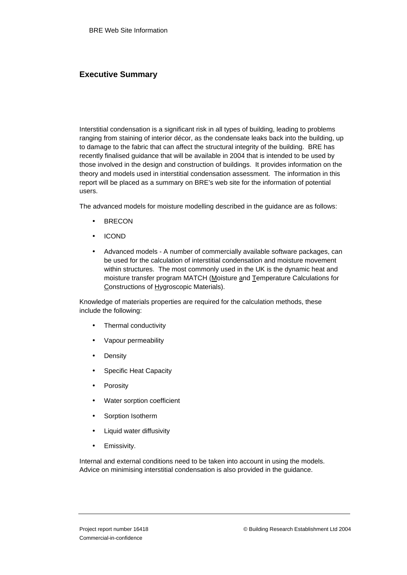# **Executive Summary**

Interstitial condensation is a significant risk in all types of building, leading to problems ranging from staining of interior décor, as the condensate leaks back into the building, up to damage to the fabric that can affect the structural integrity of the building. BRE has recently finalised guidance that will be available in 2004 that is intended to be used by those involved in the design and construction of buildings. It provides information on the theory and models used in interstitial condensation assessment. The information in this report will be placed as a summary on BRE's web site for the information of potential users.

The advanced models for moisture modelling described in the guidance are as follows:

- **BRECON**
- ICOND
- Advanced models A number of commercially available software packages, can be used for the calculation of interstitial condensation and moisture movement within structures. The most commonly used in the UK is the dynamic heat and moisture transfer program MATCH (Moisture and Temperature Calculations for Constructions of Hygroscopic Materials).

Knowledge of materials properties are required for the calculation methods, these include the following:

- Thermal conductivity
- Vapour permeability
- **Density**
- Specific Heat Capacity
- **Porosity**
- Water sorption coefficient
- Sorption Isotherm
- Liquid water diffusivity
- Emissivity.

Internal and external conditions need to be taken into account in using the models. Advice on minimising interstitial condensation is also provided in the guidance.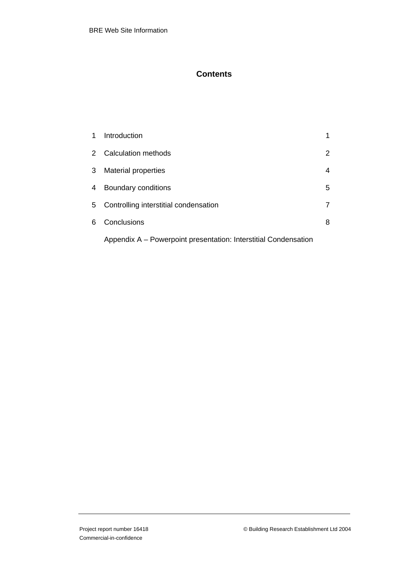# **Contents**

| 1. | Introduction                          | 1 |
|----|---------------------------------------|---|
|    | 2 Calculation methods                 | 2 |
| 3  | <b>Material properties</b>            | 4 |
| 4  | Boundary conditions                   | 5 |
| 5  | Controlling interstitial condensation | 7 |
| 6. | Conclusions                           | 8 |
|    |                                       |   |

Appendix A – Powerpoint presentation: Interstitial Condensation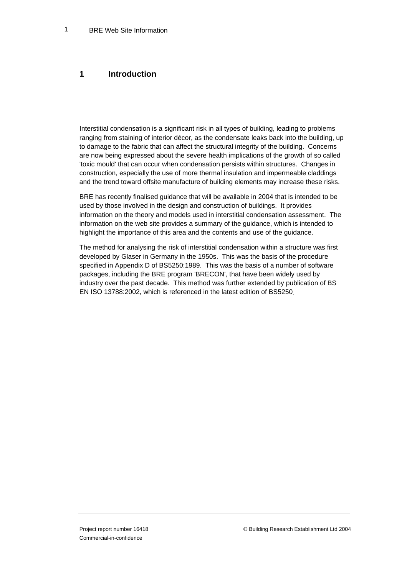#### **1 Introduction**

Interstitial condensation is a significant risk in all types of building, leading to problems ranging from staining of interior décor, as the condensate leaks back into the building, up to damage to the fabric that can affect the structural integrity of the building. Concerns are now being expressed about the severe health implications of the growth of so called 'toxic mould' that can occur when condensation persists within structures. Changes in construction, especially the use of more thermal insulation and impermeable claddings and the trend toward offsite manufacture of building elements may increase these risks.

BRE has recently finalised guidance that will be available in 2004 that is intended to be used by those involved in the design and construction of buildings. It provides information on the theory and models used in interstitial condensation assessment. The information on the web site provides a summary of the guidance, which is intended to highlight the importance of this area and the contents and use of the guidance.

The method for analysing the risk of interstitial condensation within a structure was first developed by Glaser in Germany in the 1950s. This was the basis of the procedure specified in Appendix D of BS5250:1989. This was the basis of a number of software packages, including the BRE program 'BRECON', that have been widely used by industry over the past decade. This method was further extended by publication of BS EN ISO 13788:2002, which is referenced in the latest edition of BS5250.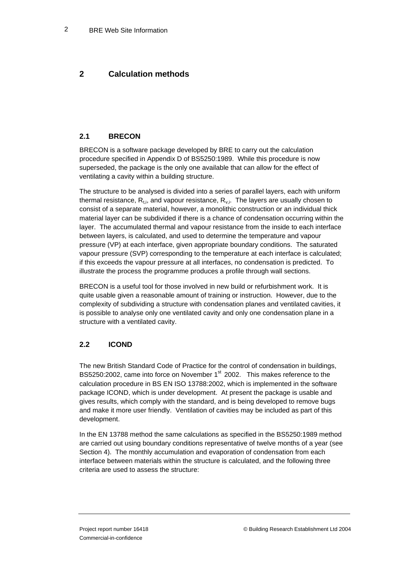# **2 Calculation methods**

### **2.1 BRECON**

BRECON is a software package developed by BRE to carry out the calculation procedure specified in Appendix D of BS5250:1989. While this procedure is now superseded, the package is the only one available that can allow for the effect of ventilating a cavity within a building structure.

The structure to be analysed is divided into a series of parallel layers, each with uniform thermal resistance,  $R_{t,i}$ , and vapour resistance,  $R_{v,i}$ . The layers are usually chosen to consist of a separate material, however, a monolithic construction or an individual thick material layer can be subdivided if there is a chance of condensation occurring within the layer. The accumulated thermal and vapour resistance from the inside to each interface between layers, is calculated, and used to determine the temperature and vapour pressure (VP) at each interface, given appropriate boundary conditions. The saturated vapour pressure (SVP) corresponding to the temperature at each interface is calculated; if this exceeds the vapour pressure at all interfaces, no condensation is predicted. To illustrate the process the programme produces a profile through wall sections.

BRECON is a useful tool for those involved in new build or refurbishment work. It is quite usable given a reasonable amount of training or instruction. However, due to the complexity of subdividing a structure with condensation planes and ventilated cavities, it is possible to analyse only one ventilated cavity and only one condensation plane in a structure with a ventilated cavity.

#### **2.2 ICOND**

The new British Standard Code of Practice for the control of condensation in buildings, BS5250:2002, came into force on November 1<sup>st</sup> 2002. This makes reference to the calculation procedure in BS EN ISO 13788:2002, which is implemented in the software package ICOND, which is under development. At present the package is usable and gives results, which comply with the standard, and is being developed to remove bugs and make it more user friendly. Ventilation of cavities may be included as part of this development.

In the EN 13788 method the same calculations as specified in the BS5250:1989 method are carried out using boundary conditions representative of twelve months of a year (see Section 4). The monthly accumulation and evaporation of condensation from each interface between materials within the structure is calculated, and the following three criteria are used to assess the structure: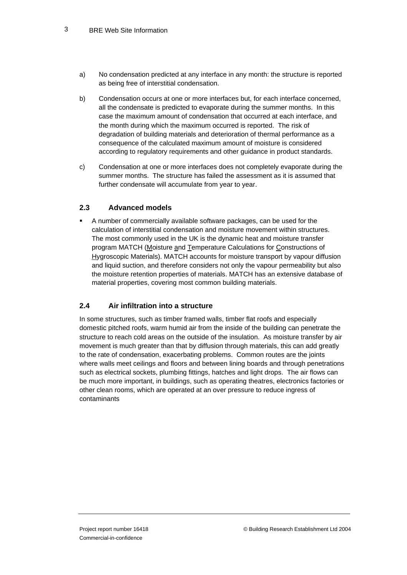- a) No condensation predicted at any interface in any month: the structure is reported as being free of interstitial condensation.
- b) Condensation occurs at one or more interfaces but, for each interface concerned, all the condensate is predicted to evaporate during the summer months. In this case the maximum amount of condensation that occurred at each interface, and the month during which the maximum occurred is reported. The risk of degradation of building materials and deterioration of thermal performance as a consequence of the calculated maximum amount of moisture is considered according to regulatory requirements and other guidance in product standards.
- c) Condensation at one or more interfaces does not completely evaporate during the summer months. The structure has failed the assessment as it is assumed that further condensate will accumulate from year to year.

#### **2.3 Advanced models**

 A number of commercially available software packages, can be used for the calculation of interstitial condensation and moisture movement within structures. The most commonly used in the UK is the dynamic heat and moisture transfer program MATCH (Moisture and Temperature Calculations for Constructions of Hygroscopic Materials). MATCH accounts for moisture transport by vapour diffusion and liquid suction, and therefore considers not only the vapour permeability but also the moisture retention properties of materials. MATCH has an extensive database of material properties, covering most common building materials.

#### **2.4 Air infiltration into a structure**

In some structures, such as timber framed walls, timber flat roofs and especially domestic pitched roofs, warm humid air from the inside of the building can penetrate the structure to reach cold areas on the outside of the insulation. As moisture transfer by air movement is much greater than that by diffusion through materials, this can add greatly to the rate of condensation, exacerbating problems. Common routes are the joints where walls meet ceilings and floors and between lining boards and through penetrations such as electrical sockets, plumbing fittings, hatches and light drops. The air flows can be much more important, in buildings, such as operating theatres, electronics factories or other clean rooms, which are operated at an over pressure to reduce ingress of contaminants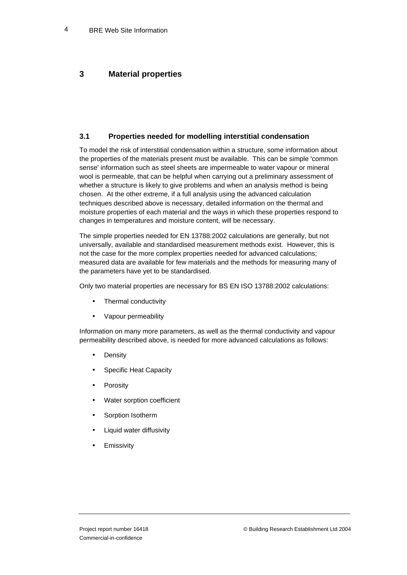# **3 Material properties**

#### **3.1 Properties needed for modelling interstitial condensation**

To model the risk of interstitial condensation within a structure, some information about the properties of the materials present must be available. This can be simple 'common sense' information such as steel sheets are impermeable to water vapour or mineral wool is permeable, that can be helpful when carrying out a preliminary assessment of whether a structure is likely to give problems and when an analysis method is being chosen. At the other extreme, if a full analysis using the advanced calculation techniques described above is necessary, detailed information on the thermal and moisture properties of each material and the ways in which these properties respond to changes in temperatures and moisture content, will be necessary.

The simple properties needed for EN 13788:2002 calculations are generally, but not universally, available and standardised measurement methods exist. However, this is not the case for the more complex properties needed for advanced calculations; measured data are available for few materials and the methods for measuring many of the parameters have yet to be standardised.

Only two material properties are necessary for BS EN ISO 13788:2002 calculations:

- Thermal conductivity
- Vapour permeability

Information on many more parameters, as well as the thermal conductivity and vapour permeability described above, is needed for more advanced calculations as follows:

- **Density**
- Specific Heat Capacity
- **Porosity**
- Water sorption coefficient
- Sorption Isotherm
- Liquid water diffusivity
- **Emissivity**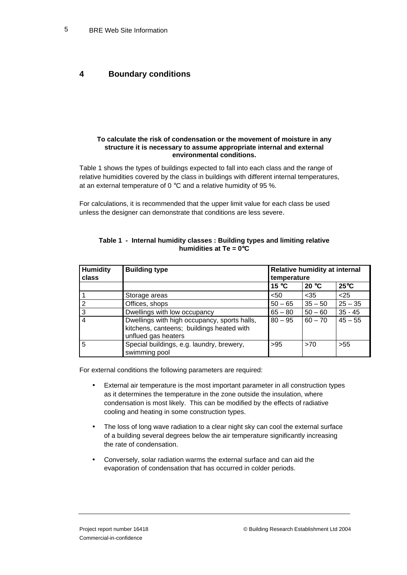### **4 Boundary conditions**

#### **To calculate the risk of condensation or the movement of moisture in any structure it is necessary to assume appropriate internal and external environmental conditions.**

Table 1 shows the types of buildings expected to fall into each class and the range of relative humidities covered by the class in buildings with different internal temperatures, at an external temperature of 0 °C and a relative humidity of 95 %.

For calculations, it is recommended that the upper limit value for each class be used unless the designer can demonstrate that conditions are less severe.

| <b>Humidity</b><br>class | <b>Building type</b>                                                                                             | Relative humidity at internal<br>temperature |           |                |
|--------------------------|------------------------------------------------------------------------------------------------------------------|----------------------------------------------|-----------|----------------|
|                          |                                                                                                                  | 15 °C                                        | 20 °C     | $25^{\circ}$ C |
|                          | Storage areas                                                                                                    | < 50                                         | $35$      | $25$           |
| 2                        | Offices, shops                                                                                                   | $50 - 65$                                    | $35 - 50$ | $25 - 35$      |
| 3                        | Dwellings with low occupancy                                                                                     | $65 - 80$                                    | $50 - 60$ | $35 - 45$      |
| 4                        | Dwellings with high occupancy, sports halls,<br>kitchens, canteens; buildings heated with<br>unflued gas heaters | $80 - 95$                                    | $60 - 70$ | $45 - 55$      |
| 5                        | Special buildings, e.g. laundry, brewery,<br>swimming pool                                                       | >95                                          | >70       | >55            |

#### **Table 1 - Internal humidity classes : Building types and limiting relative humidities at Te = 0**°**C**

For external conditions the following parameters are required:

- External air temperature is the most important parameter in all construction types as it determines the temperature in the zone outside the insulation, where condensation is most likely. This can be modified by the effects of radiative cooling and heating in some construction types.
- The loss of long wave radiation to a clear night sky can cool the external surface of a building several degrees below the air temperature significantly increasing the rate of condensation.
- Conversely, solar radiation warms the external surface and can aid the evaporation of condensation that has occurred in colder periods.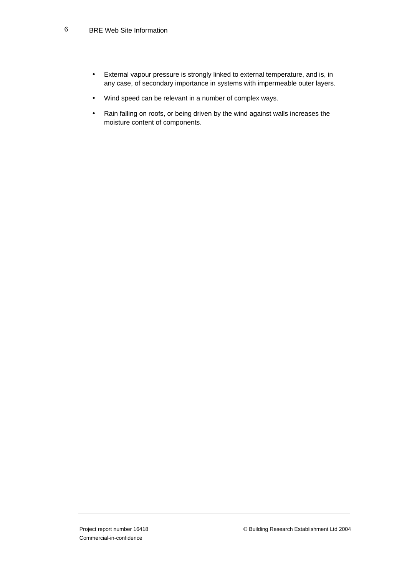#### BRE Web Site Information 6

- External vapour pressure is strongly linked to external temperature, and is, in any case, of secondary importance in systems with impermeable outer layers.
- Wind speed can be relevant in a number of complex ways.
- Rain falling on roofs, or being driven by the wind against walls increases the moisture content of components.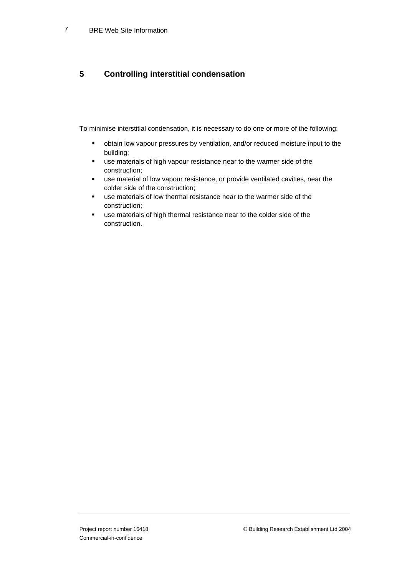# **5 Controlling interstitial condensation**

To minimise interstitial condensation, it is necessary to do one or more of the following:

- obtain low vapour pressures by ventilation, and/or reduced moisture input to the building;
- use materials of high vapour resistance near to the warmer side of the construction;
- use material of low vapour resistance, or provide ventilated cavities, near the colder side of the construction;
- use materials of low thermal resistance near to the warmer side of the construction;
- use materials of high thermal resistance near to the colder side of the construction.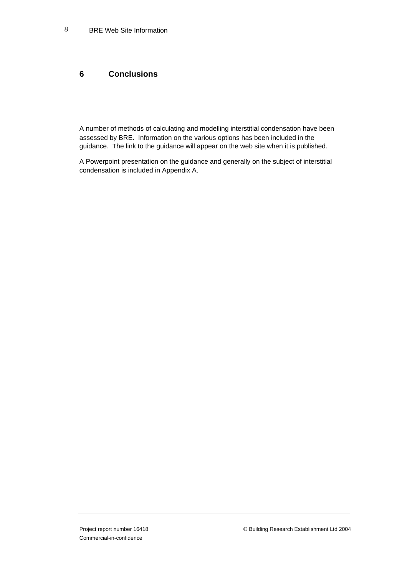## **6 Conclusions**

A number of methods of calculating and modelling interstitial condensation have been assessed by BRE. Information on the various options has been included in the guidance. The link to the guidance will appear on the web site when it is published.

A Powerpoint presentation on the guidance and generally on the subject of interstitial condensation is included in Appendix A.